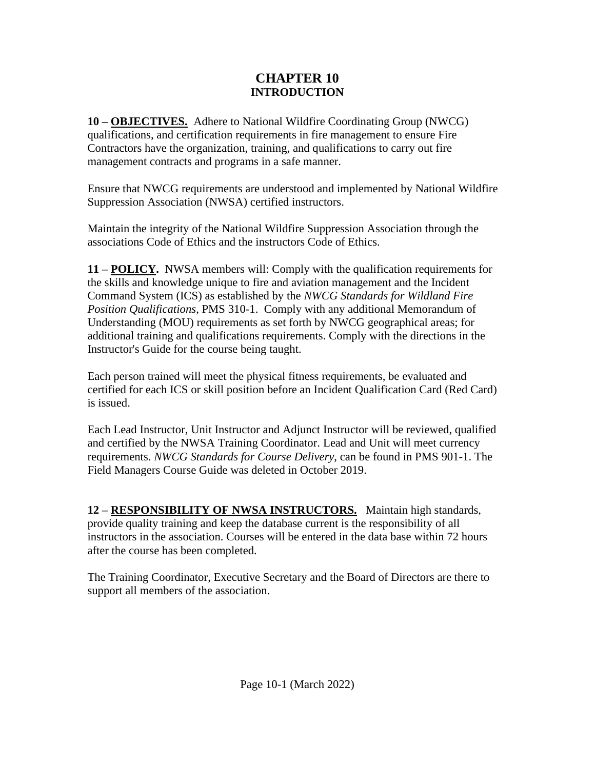## **CHAPTER 10 INTRODUCTION**

**10 – OBJECTIVES.** Adhere to National Wildfire Coordinating Group (NWCG) qualifications, and certification requirements in fire management to ensure Fire Contractors have the organization, training, and qualifications to carry out fire management contracts and programs in a safe manner.

Ensure that NWCG requirements are understood and implemented by National Wildfire Suppression Association (NWSA) certified instructors.

Maintain the integrity of the National Wildfire Suppression Association through the associations Code of Ethics and the instructors Code of Ethics.

**11 – POLICY.** NWSA members will: Comply with the qualification requirements for the skills and knowledge unique to fire and aviation management and the Incident Command System (ICS) as established by the *NWCG Standards for Wildland Fire Position Qualifications*, PMS 310-1. Comply with any additional Memorandum of Understanding (MOU) requirements as set forth by NWCG geographical areas; for additional training and qualifications requirements. Comply with the directions in the Instructor's Guide for the course being taught.

Each person trained will meet the physical fitness requirements, be evaluated and certified for each ICS or skill position before an Incident Qualification Card (Red Card) is issued.

Each Lead Instructor, Unit Instructor and Adjunct Instructor will be reviewed, qualified and certified by the NWSA Training Coordinator. Lead and Unit will meet currency requirements. *NWCG Standards for Course Delivery*, can be found in PMS 901-1. The Field Managers Course Guide was deleted in October 2019.

**12 – RESPONSIBILITY OF NWSA INSTRUCTORS.** Maintain high standards, provide quality training and keep the database current is the responsibility of all instructors in the association. Courses will be entered in the data base within 72 hours after the course has been completed.

The Training Coordinator, Executive Secretary and the Board of Directors are there to support all members of the association.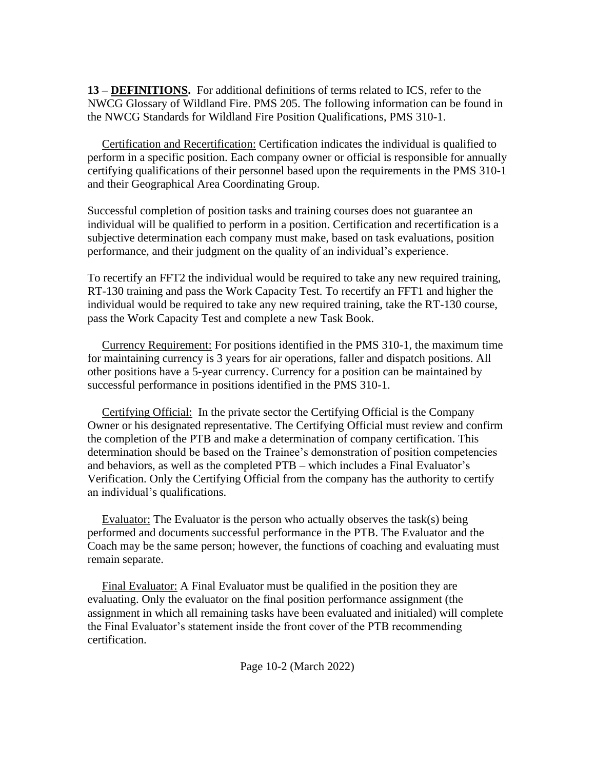**13 – DEFINITIONS.** For additional definitions of terms related to ICS, refer to the NWCG Glossary of Wildland Fire. PMS 205. The following information can be found in the NWCG Standards for Wildland Fire Position Qualifications, PMS 310-1.

 Certification and Recertification: Certification indicates the individual is qualified to perform in a specific position. Each company owner or official is responsible for annually certifying qualifications of their personnel based upon the requirements in the PMS 310-1 and their Geographical Area Coordinating Group.

Successful completion of position tasks and training courses does not guarantee an individual will be qualified to perform in a position. Certification and recertification is a subjective determination each company must make, based on task evaluations, position performance, and their judgment on the quality of an individual's experience.

To recertify an FFT2 the individual would be required to take any new required training, RT-130 training and pass the Work Capacity Test. To recertify an FFT1 and higher the individual would be required to take any new required training, take the RT-130 course, pass the Work Capacity Test and complete a new Task Book.

 Currency Requirement: For positions identified in the PMS 310-1, the maximum time for maintaining currency is 3 years for air operations, faller and dispatch positions. All other positions have a 5-year currency. Currency for a position can be maintained by successful performance in positions identified in the PMS 310-1.

 Certifying Official: In the private sector the Certifying Official is the Company Owner or his designated representative. The Certifying Official must review and confirm the completion of the PTB and make a determination of company certification. This determination should be based on the Trainee's demonstration of position competencies and behaviors, as well as the completed PTB – which includes a Final Evaluator's Verification. Only the Certifying Official from the company has the authority to certify an individual's qualifications.

 Evaluator: The Evaluator is the person who actually observes the task(s) being performed and documents successful performance in the PTB. The Evaluator and the Coach may be the same person; however, the functions of coaching and evaluating must remain separate.

 Final Evaluator: A Final Evaluator must be qualified in the position they are evaluating. Only the evaluator on the final position performance assignment (the assignment in which all remaining tasks have been evaluated and initialed) will complete the Final Evaluator's statement inside the front cover of the PTB recommending certification.

Page 10-2 (March 2022)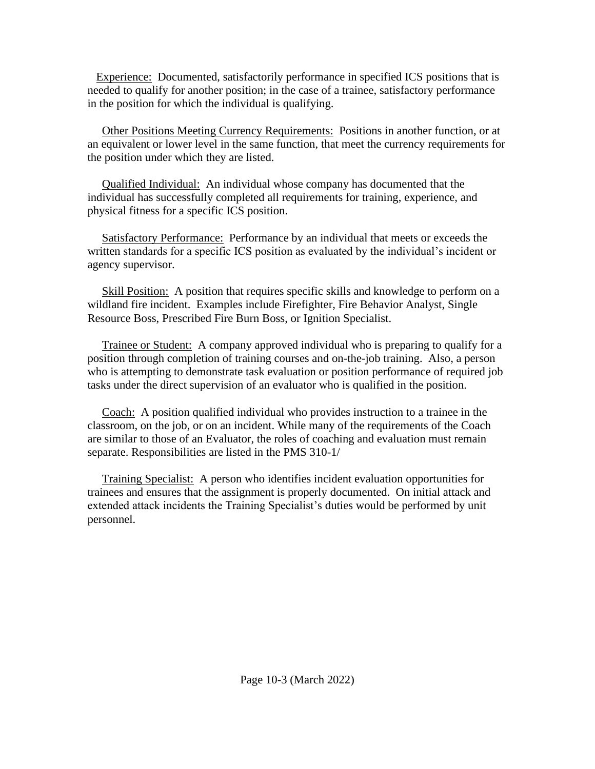Experience: Documented, satisfactorily performance in specified ICS positions that is needed to qualify for another position; in the case of a trainee, satisfactory performance in the position for which the individual is qualifying.

 Other Positions Meeting Currency Requirements: Positions in another function, or at an equivalent or lower level in the same function, that meet the currency requirements for the position under which they are listed.

 Qualified Individual: An individual whose company has documented that the individual has successfully completed all requirements for training, experience, and physical fitness for a specific ICS position.

 Satisfactory Performance: Performance by an individual that meets or exceeds the written standards for a specific ICS position as evaluated by the individual's incident or agency supervisor.

 Skill Position: A position that requires specific skills and knowledge to perform on a wildland fire incident. Examples include Firefighter, Fire Behavior Analyst, Single Resource Boss, Prescribed Fire Burn Boss, or Ignition Specialist.

 Trainee or Student: A company approved individual who is preparing to qualify for a position through completion of training courses and on-the-job training. Also, a person who is attempting to demonstrate task evaluation or position performance of required job tasks under the direct supervision of an evaluator who is qualified in the position.

 Coach: A position qualified individual who provides instruction to a trainee in the classroom, on the job, or on an incident. While many of the requirements of the Coach are similar to those of an Evaluator, the roles of coaching and evaluation must remain separate. Responsibilities are listed in the PMS 310-1/

 Training Specialist: A person who identifies incident evaluation opportunities for trainees and ensures that the assignment is properly documented. On initial attack and extended attack incidents the Training Specialist's duties would be performed by unit personnel.